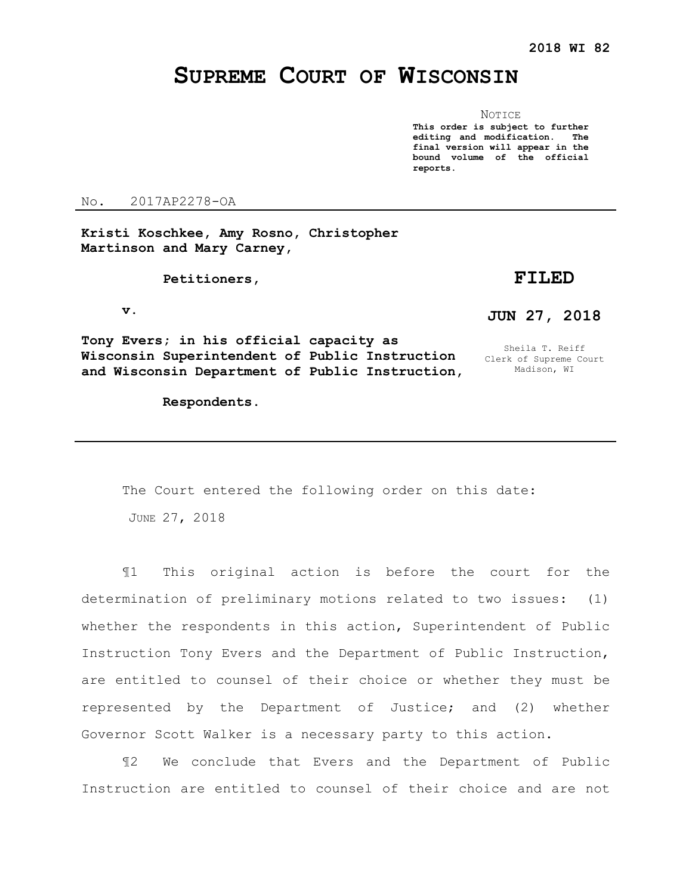# **SUPREME COURT OF WISCONSIN**

NOTICE **This order is subject to further editing and modification. The final version will appear in the bound volume of the official reports.** 

No. 2017AP2278-OA

**Kristi Koschkee, Amy Rosno, Christopher Martinson and Mary Carney,**

 **Petitioners,**

## **FILED**

 **v.**

**JUN 27, 2018**

Sheila T. Reiff Clerk of Supreme Court Madison, WI

**Tony Evers; in his official capacity as Wisconsin Superintendent of Public Instruction and Wisconsin Department of Public Instruction,** 

 **Respondents.**

## The Court entered the following order on this date:

JUNE 27, 2018

¶1 This original action is before the court for the determination of preliminary motions related to two issues: (1) whether the respondents in this action, Superintendent of Public Instruction Tony Evers and the Department of Public Instruction, are entitled to counsel of their choice or whether they must be represented by the Department of Justice; and (2) whether Governor Scott Walker is a necessary party to this action.

¶2 We conclude that Evers and the Department of Public Instruction are entitled to counsel of their choice and are not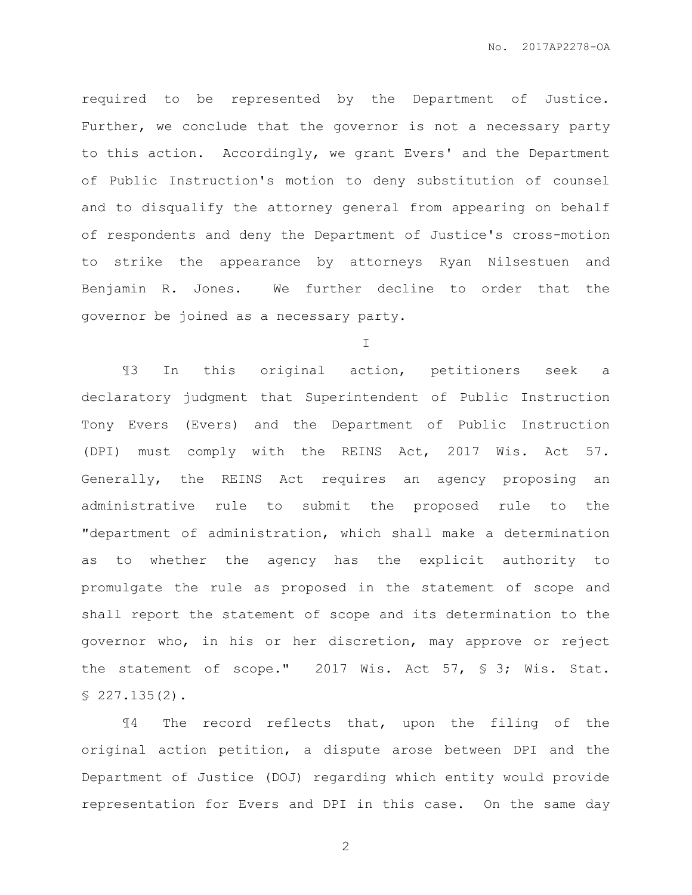required to be represented by the Department of Justice. Further, we conclude that the governor is not a necessary party to this action. Accordingly, we grant Evers' and the Department of Public Instruction's motion to deny substitution of counsel and to disqualify the attorney general from appearing on behalf of respondents and deny the Department of Justice's cross-motion to strike the appearance by attorneys Ryan Nilsestuen and Benjamin R. Jones. We further decline to order that the governor be joined as a necessary party.

I

¶3 In this original action, petitioners seek a declaratory judgment that Superintendent of Public Instruction Tony Evers (Evers) and the Department of Public Instruction (DPI) must comply with the REINS Act, 2017 Wis. Act 57. Generally, the REINS Act requires an agency proposing an administrative rule to submit the proposed rule to the "department of administration, which shall make a determination as to whether the agency has the explicit authority to promulgate the rule as proposed in the statement of scope and shall report the statement of scope and its determination to the governor who, in his or her discretion, may approve or reject the statement of scope." 2017 Wis. Act 57, § 3; Wis. Stat. § 227.135(2).

¶4 The record reflects that, upon the filing of the original action petition, a dispute arose between DPI and the Department of Justice (DOJ) regarding which entity would provide representation for Evers and DPI in this case. On the same day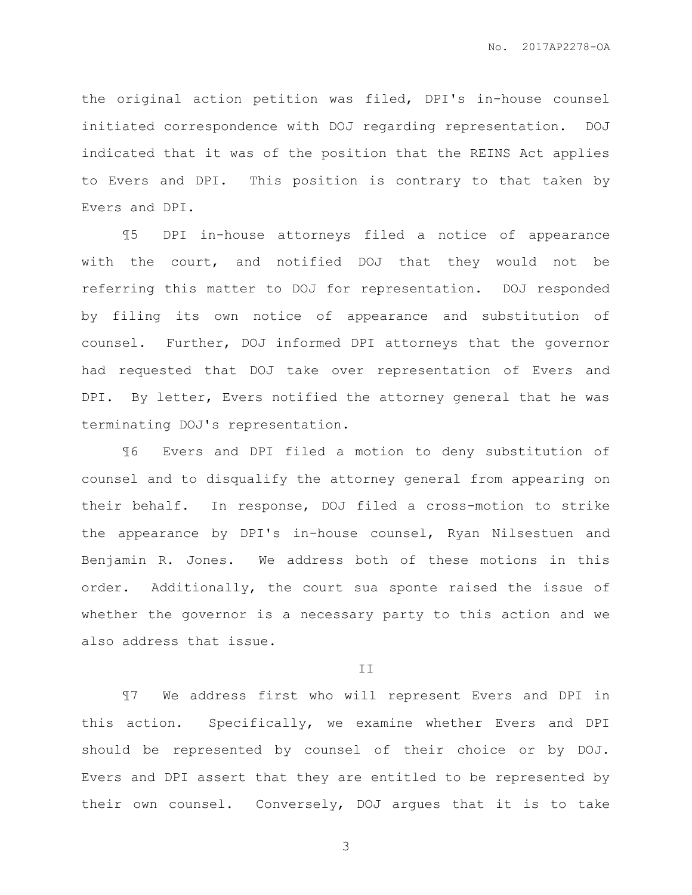the original action petition was filed, DPI's in-house counsel initiated correspondence with DOJ regarding representation. DOJ indicated that it was of the position that the REINS Act applies to Evers and DPI. This position is contrary to that taken by Evers and DPI.

¶5 DPI in-house attorneys filed a notice of appearance with the court, and notified DOJ that they would not be referring this matter to DOJ for representation. DOJ responded by filing its own notice of appearance and substitution of counsel. Further, DOJ informed DPI attorneys that the governor had requested that DOJ take over representation of Evers and DPI. By letter, Evers notified the attorney general that he was terminating DOJ's representation.

¶6 Evers and DPI filed a motion to deny substitution of counsel and to disqualify the attorney general from appearing on their behalf. In response, DOJ filed a cross-motion to strike the appearance by DPI's in-house counsel, Ryan Nilsestuen and Benjamin R. Jones. We address both of these motions in this order. Additionally, the court sua sponte raised the issue of whether the governor is a necessary party to this action and we also address that issue.

#### II

¶7 We address first who will represent Evers and DPI in this action. Specifically, we examine whether Evers and DPI should be represented by counsel of their choice or by DOJ. Evers and DPI assert that they are entitled to be represented by their own counsel. Conversely, DOJ argues that it is to take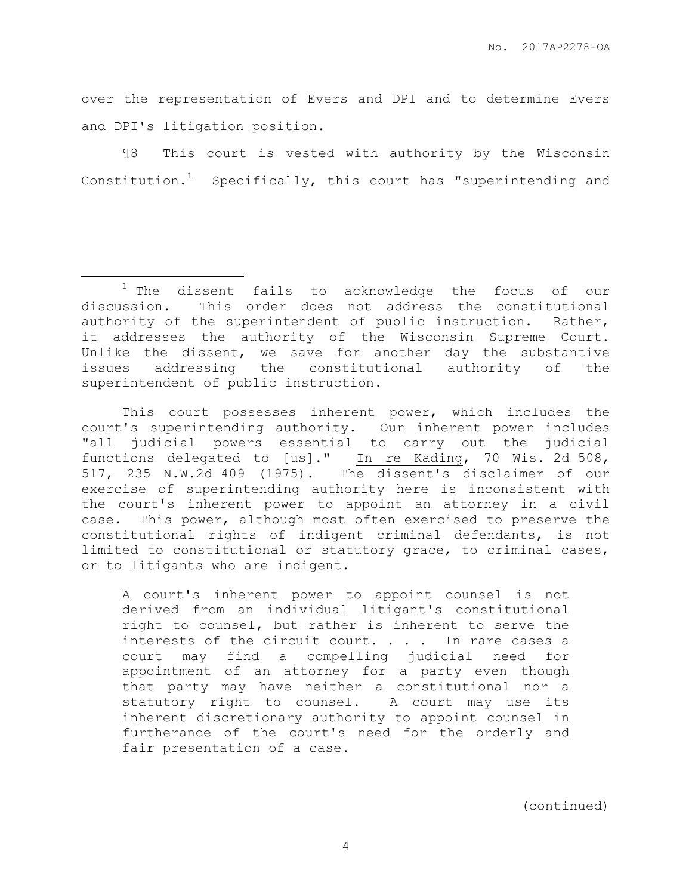over the representation of Evers and DPI and to determine Evers and DPI's litigation position.

¶8 This court is vested with authority by the Wisconsin Constitution.<sup>1</sup> Specifically, this court has "superintending and

 $\overline{a}$ 

This court possesses inherent power, which includes the court's superintending authority. Our inherent power includes "all judicial powers essential to carry out the judicial functions delegated to [us]." In re Kading, 70 Wis. 2d 508, 517, 235 N.W.2d 409 (1975). The dissent's disclaimer of our exercise of superintending authority here is inconsistent with the court's inherent power to appoint an attorney in a civil case. This power, although most often exercised to preserve the constitutional rights of indigent criminal defendants, is not limited to constitutional or statutory grace, to criminal cases, or to litigants who are indigent.

A court's inherent power to appoint counsel is not derived from an individual litigant's constitutional right to counsel, but rather is inherent to serve the interests of the circuit court. . . . In rare cases a court may find a compelling judicial need for appointment of an attorney for a party even though that party may have neither a constitutional nor a statutory right to counsel. A court may use its inherent discretionary authority to appoint counsel in furtherance of the court's need for the orderly and fair presentation of a case.

(continued)

 $1$  The dissent fails to acknowledge the focus of our discussion. This order does not address the constitutional authority of the superintendent of public instruction. Rather, it addresses the authority of the Wisconsin Supreme Court. Unlike the dissent, we save for another day the substantive issues addressing the constitutional authority of the superintendent of public instruction.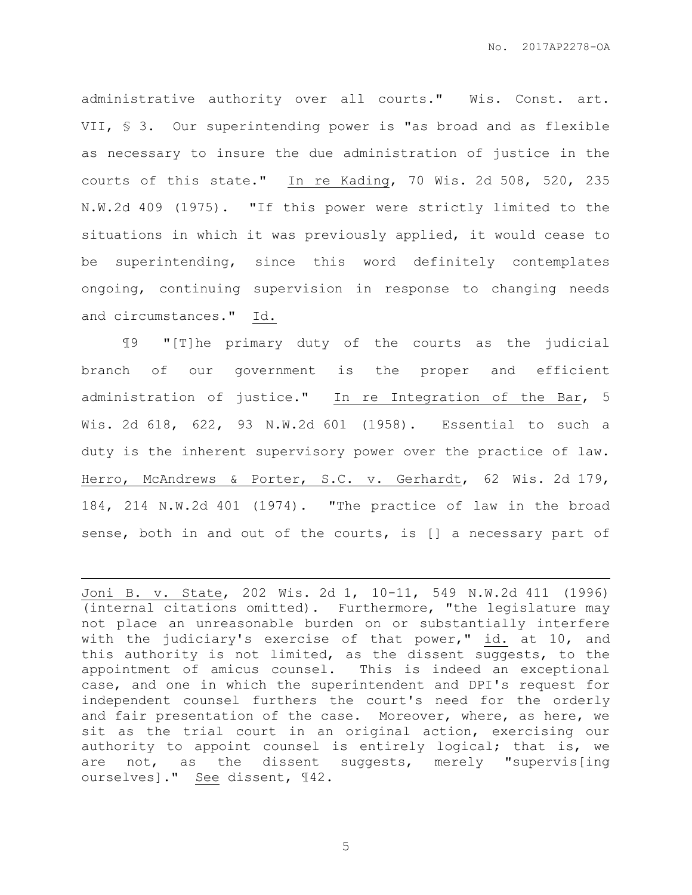administrative authority over all courts." Wis. Const. art. VII, § 3. Our superintending power is "as broad and as flexible as necessary to insure the due administration of justice in the courts of this state." In re Kading, 70 Wis. 2d 508, 520, 235 N.W.2d 409 (1975). "If this power were strictly limited to the situations in which it was previously applied, it would cease to be superintending, since this word definitely contemplates ongoing, continuing supervision in response to changing needs and circumstances." Id.

¶9 "[T]he primary duty of the courts as the judicial branch of our government is the proper and efficient administration of justice." In re Integration of the Bar, 5 Wis. 2d 618, 622, 93 N.W.2d 601 (1958). Essential to such a duty is the inherent supervisory power over the practice of law. Herro, McAndrews & Porter, S.C. v. Gerhardt, 62 Wis. 2d 179, 184, 214 N.W.2d 401 (1974). "The practice of law in the broad sense, both in and out of the courts, is [] a necessary part of

 $\overline{a}$ 

Joni B. v. State, 202 Wis. 2d 1, 10-11, 549 N.W.2d 411 (1996) (internal citations omitted). Furthermore, "the legislature may not place an unreasonable burden on or substantially interfere with the judiciary's exercise of that power," id. at 10, and this authority is not limited, as the dissent suggests, to the appointment of amicus counsel. This is indeed an exceptional case, and one in which the superintendent and DPI's request for independent counsel furthers the court's need for the orderly and fair presentation of the case. Moreover, where, as here, we sit as the trial court in an original action, exercising our authority to appoint counsel is entirely logical; that is, we are not, as the dissent suggests, merely "supervis[ing ourselves]." See dissent, ¶42.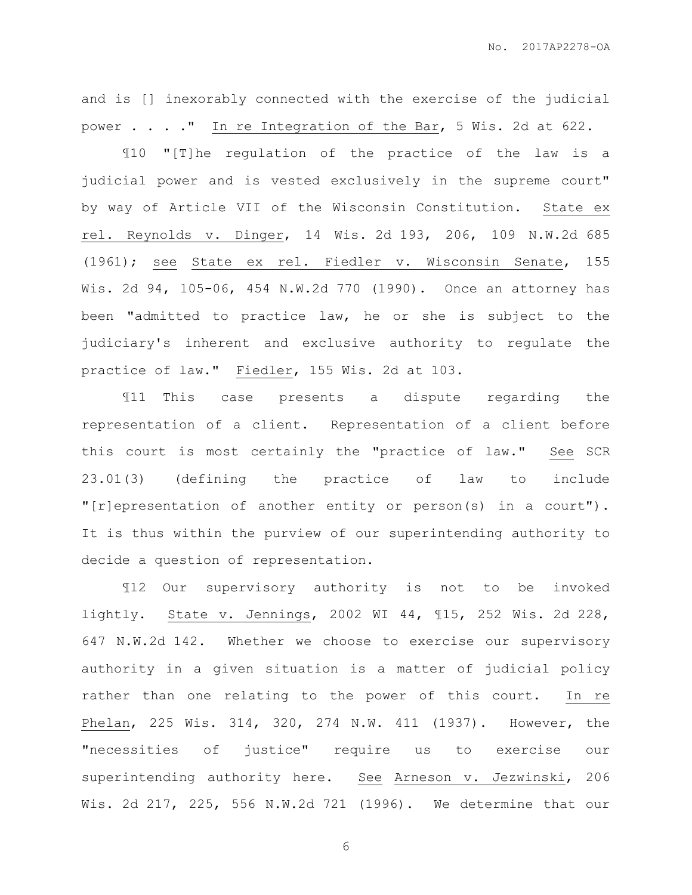and is [] inexorably connected with the exercise of the judicial power . . . ." In re Integration of the Bar, 5 Wis. 2d at 622.

¶10 "[T]he regulation of the practice of the law is a judicial power and is vested exclusively in the supreme court" by way of Article VII of the Wisconsin Constitution. State ex rel. Reynolds v. Dinger, 14 Wis. 2d 193, 206, 109 N.W.2d 685 (1961); see State ex rel. Fiedler v. Wisconsin Senate, 155 Wis. 2d 94, 105-06, 454 N.W.2d 770 (1990). Once an attorney has been "admitted to practice law, he or she is subject to the judiciary's inherent and exclusive authority to regulate the practice of law." Fiedler, 155 Wis. 2d at 103.

¶11 This case presents a dispute regarding the representation of a client. Representation of a client before this court is most certainly the "practice of law." See SCR 23.01(3) (defining the practice of law to include "[r]epresentation of another entity or person(s) in a court"). It is thus within the purview of our superintending authority to decide a question of representation.

¶12 Our supervisory authority is not to be invoked lightly. State v. Jennings, 2002 WI 44, ¶15, 252 Wis. 2d 228, 647 N.W.2d 142. Whether we choose to exercise our supervisory authority in a given situation is a matter of judicial policy rather than one relating to the power of this court. In re Phelan, 225 Wis. 314, 320, 274 N.W. 411 (1937). However, the "necessities of justice" require us to exercise our superintending authority here. See Arneson v. Jezwinski, 206 Wis. 2d 217, 225, 556 N.W.2d 721 (1996). We determine that our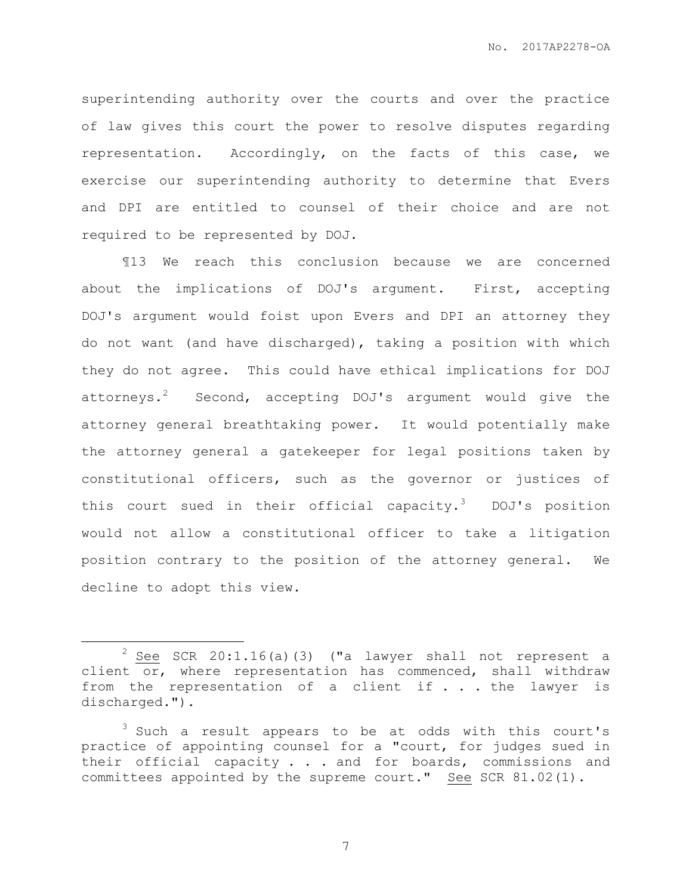superintending authority over the courts and over the practice of law gives this court the power to resolve disputes regarding representation. Accordingly, on the facts of this case, we exercise our superintending authority to determine that Evers and DPI are entitled to counsel of their choice and are not required to be represented by DOJ.

¶13 We reach this conclusion because we are concerned about the implications of DOJ's argument. First, accepting DOJ's argument would foist upon Evers and DPI an attorney they do not want (and have discharged), taking a position with which they do not agree. This could have ethical implications for DOJ attorneys.<sup>2</sup> Second, accepting DOJ's argument would give the attorney general breathtaking power. It would potentially make the attorney general a gatekeeper for legal positions taken by constitutional officers, such as the governor or justices of this court sued in their official capacity.<sup>3</sup> DOJ's position would not allow a constitutional officer to take a litigation position contrary to the position of the attorney general. We decline to adopt this view.

 $\overline{a}$ 

 $2$  See SCR 20:1.16(a)(3) ("a lawyer shall not represent a client or, where representation has commenced, shall withdraw from the representation of a client if  $\ldots$  the lawyer is discharged.").

<sup>&</sup>lt;sup>3</sup> Such a result appears to be at odds with this court's practice of appointing counsel for a "court, for judges sued in their official capacity . . . and for boards, commissions and committees appointed by the supreme court." See SCR 81.02(1).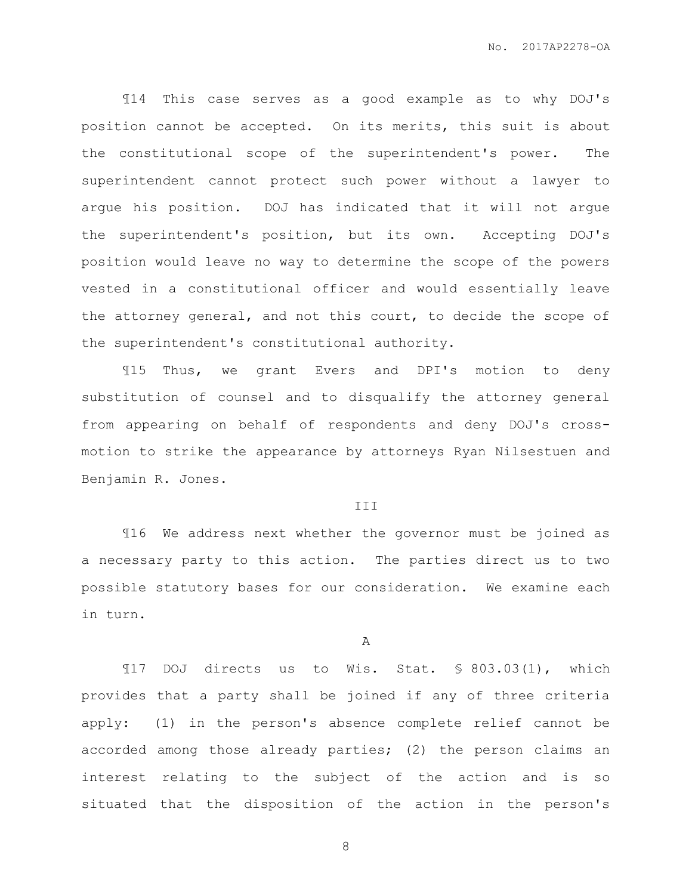¶14 This case serves as a good example as to why DOJ's position cannot be accepted. On its merits, this suit is about the constitutional scope of the superintendent's power. The superintendent cannot protect such power without a lawyer to argue his position. DOJ has indicated that it will not argue the superintendent's position, but its own. Accepting DOJ's position would leave no way to determine the scope of the powers vested in a constitutional officer and would essentially leave the attorney general, and not this court, to decide the scope of the superintendent's constitutional authority.

¶15 Thus, we grant Evers and DPI's motion to deny substitution of counsel and to disqualify the attorney general from appearing on behalf of respondents and deny DOJ's crossmotion to strike the appearance by attorneys Ryan Nilsestuen and Benjamin R. Jones.

#### III

¶16 We address next whether the governor must be joined as a necessary party to this action. The parties direct us to two possible statutory bases for our consideration. We examine each in turn.

A

¶17 DOJ directs us to Wis. Stat. § 803.03(1), which provides that a party shall be joined if any of three criteria apply: (1) in the person's absence complete relief cannot be accorded among those already parties; (2) the person claims an interest relating to the subject of the action and is so situated that the disposition of the action in the person's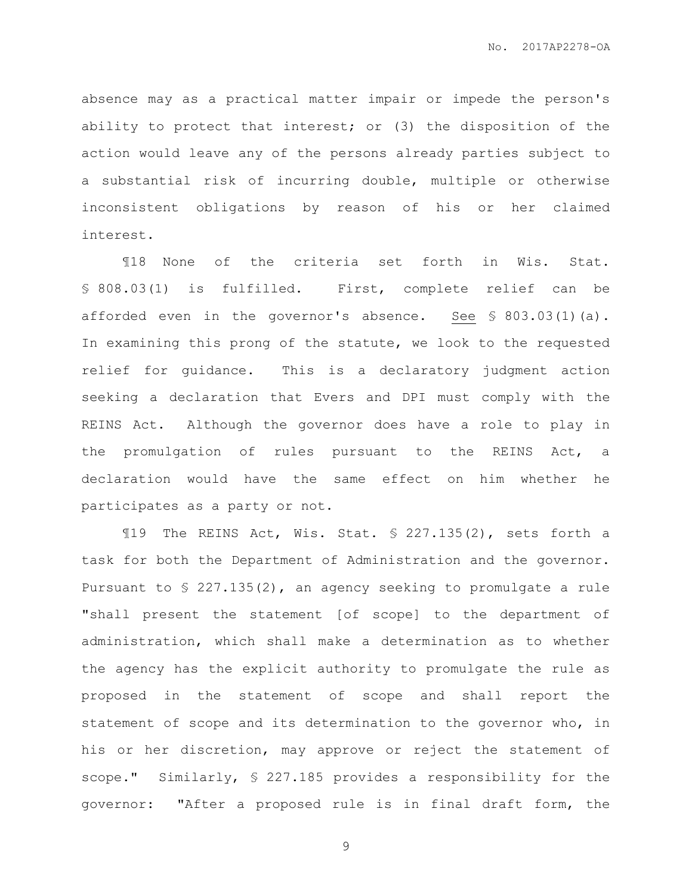absence may as a practical matter impair or impede the person's ability to protect that interest; or (3) the disposition of the action would leave any of the persons already parties subject to a substantial risk of incurring double, multiple or otherwise inconsistent obligations by reason of his or her claimed interest.

¶18 None of the criteria set forth in Wis. Stat. § 808.03(1) is fulfilled. First, complete relief can be afforded even in the governor's absence. See § 803.03(1)(a). In examining this prong of the statute, we look to the requested relief for guidance. This is a declaratory judgment action seeking a declaration that Evers and DPI must comply with the REINS Act. Although the governor does have a role to play in the promulgation of rules pursuant to the REINS Act, a declaration would have the same effect on him whether he participates as a party or not.

¶19 The REINS Act, Wis. Stat. § 227.135(2), sets forth a task for both the Department of Administration and the governor. Pursuant to § 227.135(2), an agency seeking to promulgate a rule "shall present the statement [of scope] to the department of administration, which shall make a determination as to whether the agency has the explicit authority to promulgate the rule as proposed in the statement of scope and shall report the statement of scope and its determination to the governor who, in his or her discretion, may approve or reject the statement of scope." Similarly, § 227.185 provides a responsibility for the governor: "After a proposed rule is in final draft form, the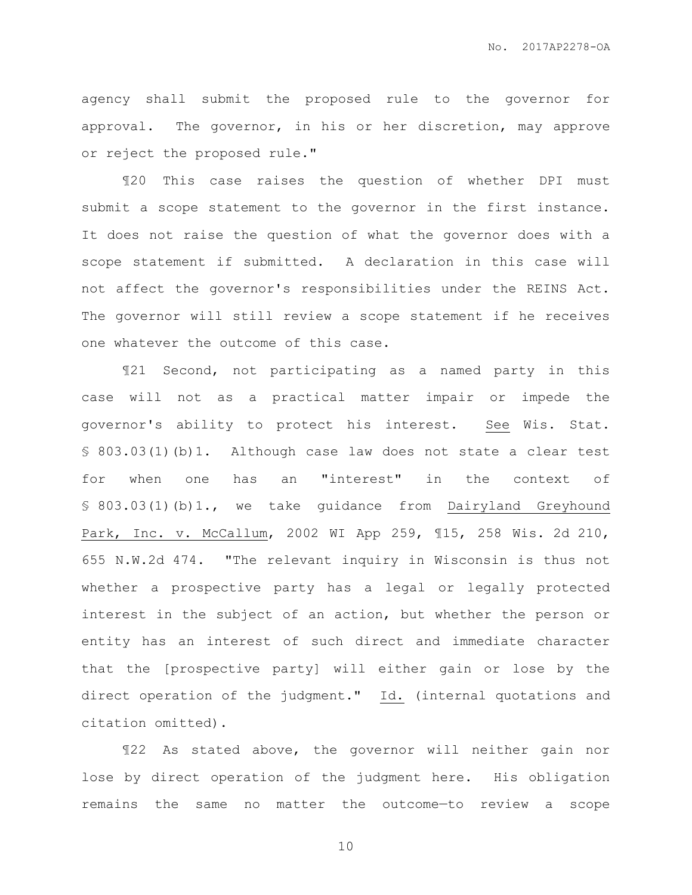agency shall submit the proposed rule to the governor for approval. The governor, in his or her discretion, may approve or reject the proposed rule."

¶20 This case raises the question of whether DPI must submit a scope statement to the governor in the first instance. It does not raise the question of what the governor does with a scope statement if submitted. A declaration in this case will not affect the governor's responsibilities under the REINS Act. The governor will still review a scope statement if he receives one whatever the outcome of this case.

¶21 Second, not participating as a named party in this case will not as a practical matter impair or impede the governor's ability to protect his interest. See Wis. Stat. § 803.03(1)(b)1. Although case law does not state a clear test for when one has an "interest" in the context of § 803.03(1)(b)1., we take guidance from Dairyland Greyhound Park, Inc. v. McCallum, 2002 WI App 259, ¶15, 258 Wis. 2d 210, 655 N.W.2d 474. "The relevant inquiry in Wisconsin is thus not whether a prospective party has a legal or legally protected interest in the subject of an action, but whether the person or entity has an interest of such direct and immediate character that the [prospective party] will either gain or lose by the direct operation of the judgment." Id. (internal quotations and citation omitted).

¶22 As stated above, the governor will neither gain nor lose by direct operation of the judgment here. His obligation remains the same no matter the outcome—to review a scope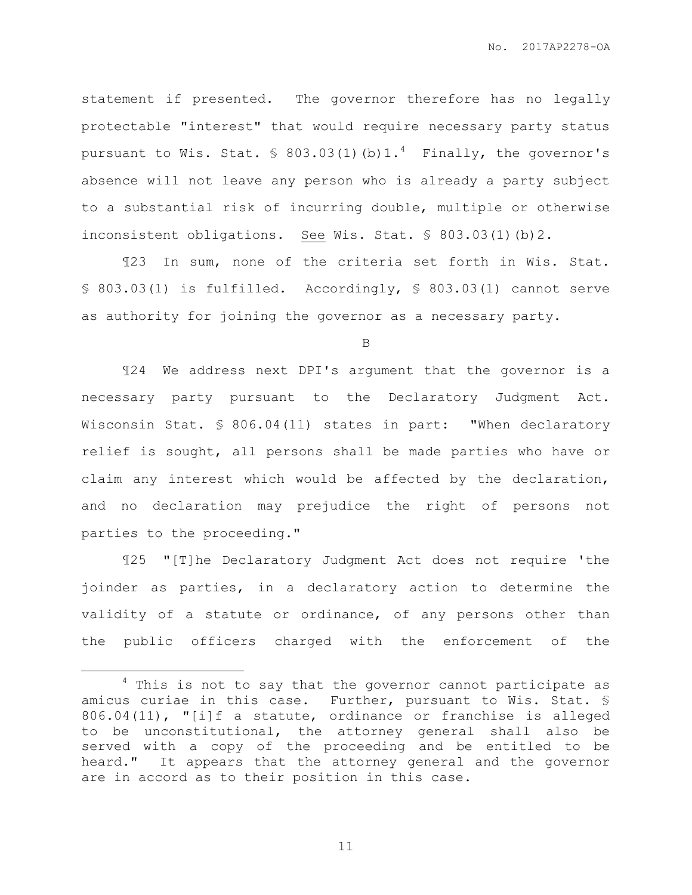statement if presented. The governor therefore has no legally protectable "interest" that would require necessary party status pursuant to Wis. Stat.  $\frac{1}{5}$  803.03(1)(b)1.<sup>4</sup> Finally, the governor's absence will not leave any person who is already a party subject to a substantial risk of incurring double, multiple or otherwise inconsistent obligations. See Wis. Stat. § 803.03(1)(b)2.

¶23 In sum, none of the criteria set forth in Wis. Stat. § 803.03(1) is fulfilled. Accordingly, § 803.03(1) cannot serve as authority for joining the governor as a necessary party.

B

¶24 We address next DPI's argument that the governor is a necessary party pursuant to the Declaratory Judgment Act. Wisconsin Stat. § 806.04(11) states in part: "When declaratory relief is sought, all persons shall be made parties who have or claim any interest which would be affected by the declaration, and no declaration may prejudice the right of persons not parties to the proceeding."

¶25 "[T]he Declaratory Judgment Act does not require 'the joinder as parties, in a declaratory action to determine the validity of a statute or ordinance, of any persons other than the public officers charged with the enforcement of the

 $\overline{a}$ 

 $4$  This is not to say that the governor cannot participate as amicus curiae in this case. Further, pursuant to Wis. Stat. § 806.04(11), "[i]f a statute, ordinance or franchise is alleged to be unconstitutional, the attorney general shall also be served with a copy of the proceeding and be entitled to be heard." It appears that the attorney general and the governor are in accord as to their position in this case.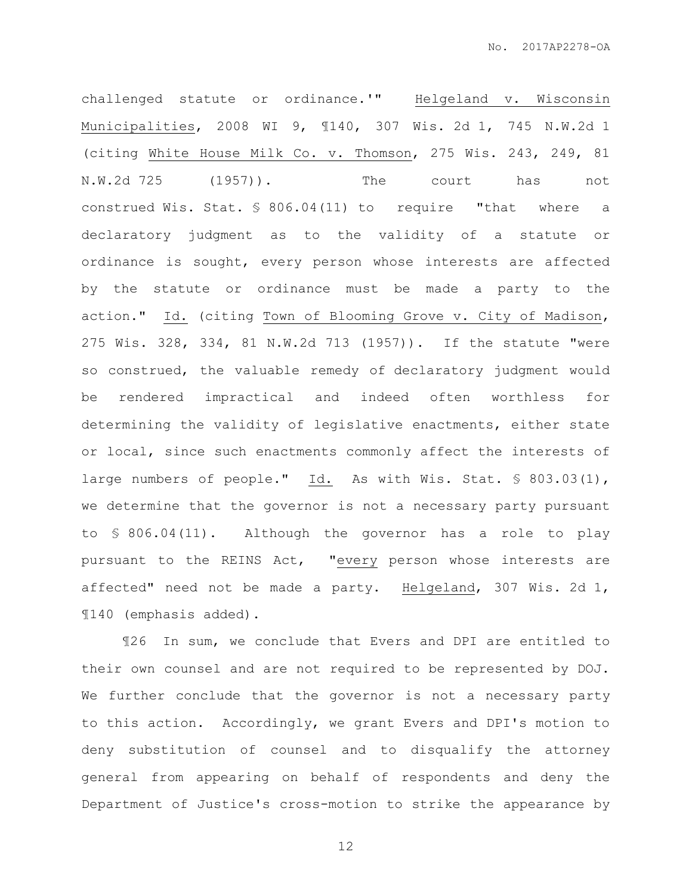challenged statute or ordinance.'" Helgeland v. Wisconsin Municipalities, 2008 WI 9, ¶140, 307 Wis. 2d 1, 745 N.W.2d 1 (citing White House Milk Co. v. Thomson, 275 Wis. 243, 249, 81 N.W.2d 725 (1957)). The court has not construed Wis. Stat. § 806.04(11) to require "that where a declaratory judgment as to the validity of a statute or ordinance is sought, every person whose interests are affected by the statute or ordinance must be made a party to the action." Id. (citing Town of Blooming Grove v. City of Madison, 275 Wis. 328, 334, 81 N.W.2d 713 (1957)). If the statute "were so construed, the valuable remedy of declaratory judgment would be rendered impractical and indeed often worthless for determining the validity of legislative enactments, either state or local, since such enactments commonly affect the interests of large numbers of people." Id. As with Wis. Stat. § 803.03(1), we determine that the governor is not a necessary party pursuant to § 806.04(11). Although the governor has a role to play pursuant to the REINS Act, "every person whose interests are affected" need not be made a party. Helgeland, 307 Wis. 2d 1, ¶140 (emphasis added).

¶26 In sum, we conclude that Evers and DPI are entitled to their own counsel and are not required to be represented by DOJ. We further conclude that the governor is not a necessary party to this action. Accordingly, we grant Evers and DPI's motion to deny substitution of counsel and to disqualify the attorney general from appearing on behalf of respondents and deny the Department of Justice's cross-motion to strike the appearance by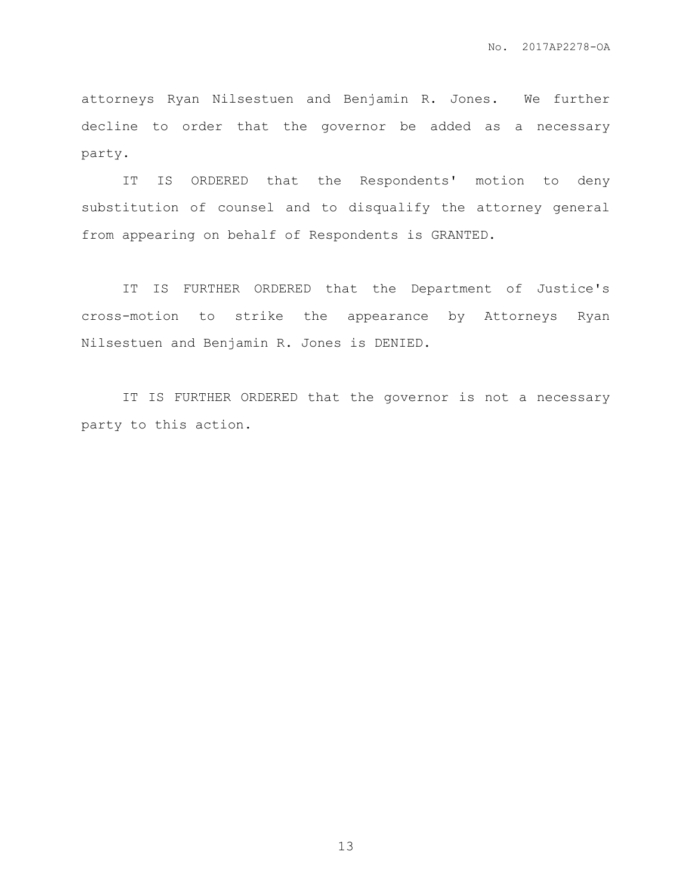attorneys Ryan Nilsestuen and Benjamin R. Jones. We further decline to order that the governor be added as a necessary party.

IT IS ORDERED that the Respondents' motion to deny substitution of counsel and to disqualify the attorney general from appearing on behalf of Respondents is GRANTED.

IT IS FURTHER ORDERED that the Department of Justice's cross-motion to strike the appearance by Attorneys Ryan Nilsestuen and Benjamin R. Jones is DENIED.

IT IS FURTHER ORDERED that the governor is not a necessary party to this action.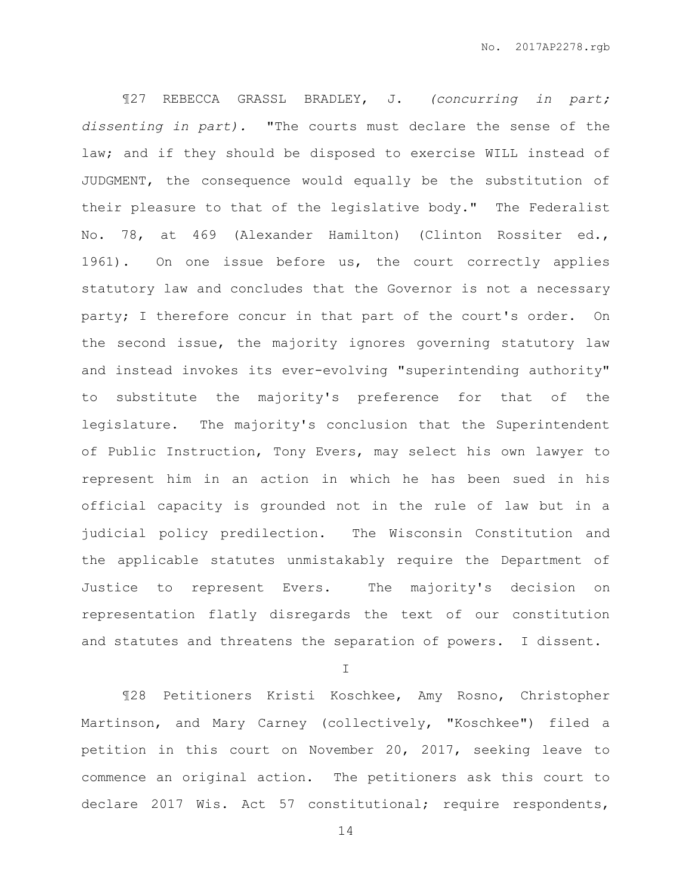¶27 REBECCA GRASSL BRADLEY, J. *(concurring in part; dissenting in part).* "The courts must declare the sense of the law; and if they should be disposed to exercise WILL instead of JUDGMENT, the consequence would equally be the substitution of their pleasure to that of the legislative body." The Federalist No. 78, at 469 (Alexander Hamilton) (Clinton Rossiter ed., 1961). On one issue before us, the court correctly applies statutory law and concludes that the Governor is not a necessary party; I therefore concur in that part of the court's order. On the second issue, the majority ignores governing statutory law and instead invokes its ever-evolving "superintending authority" to substitute the majority's preference for that of the legislature. The majority's conclusion that the Superintendent of Public Instruction, Tony Evers, may select his own lawyer to represent him in an action in which he has been sued in his official capacity is grounded not in the rule of law but in a judicial policy predilection. The Wisconsin Constitution and the applicable statutes unmistakably require the Department of Justice to represent Evers. The majority's decision on representation flatly disregards the text of our constitution and statutes and threatens the separation of powers. I dissent.

I

¶28 Petitioners Kristi Koschkee, Amy Rosno, Christopher Martinson, and Mary Carney (collectively, "Koschkee") filed a petition in this court on November 20, 2017, seeking leave to commence an original action. The petitioners ask this court to declare 2017 Wis. Act 57 constitutional; require respondents,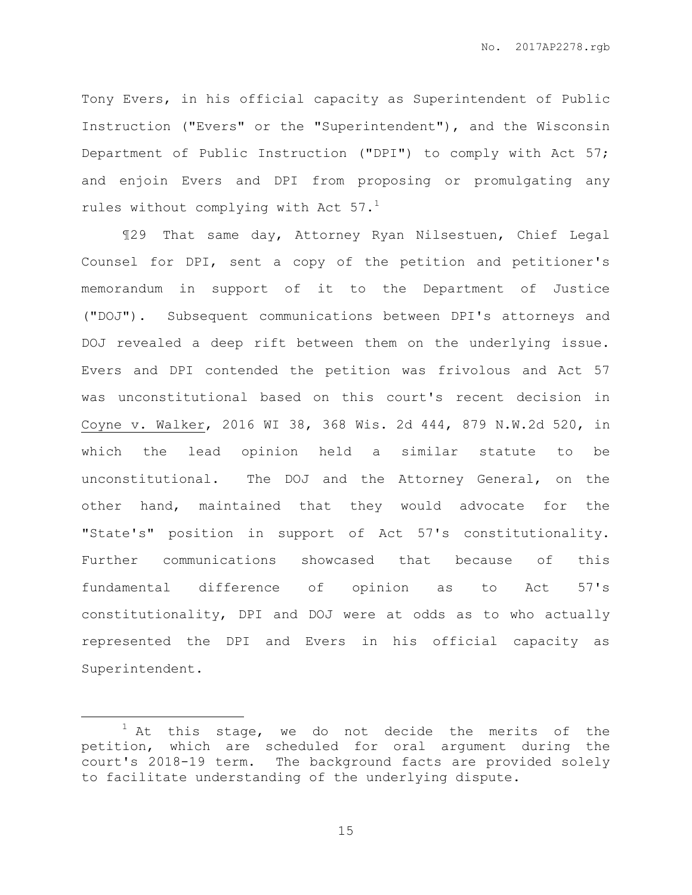Tony Evers, in his official capacity as Superintendent of Public Instruction ("Evers" or the "Superintendent"), and the Wisconsin Department of Public Instruction ("DPI") to comply with Act 57; and enjoin Evers and DPI from proposing or promulgating any rules without complying with Act  $57.^1$ 

¶29 That same day, Attorney Ryan Nilsestuen, Chief Legal Counsel for DPI, sent a copy of the petition and petitioner's memorandum in support of it to the Department of Justice ("DOJ"). Subsequent communications between DPI's attorneys and DOJ revealed a deep rift between them on the underlying issue. Evers and DPI contended the petition was frivolous and Act 57 was unconstitutional based on this court's recent decision in Coyne v. Walker, 2016 WI 38, 368 Wis. 2d 444, 879 N.W.2d 520, in which the lead opinion held a similar statute to be unconstitutional. The DOJ and the Attorney General, on the other hand, maintained that they would advocate for the "State's" position in support of Act 57's constitutionality. Further communications showcased that because of this fundamental difference of opinion as to Act 57's constitutionality, DPI and DOJ were at odds as to who actually represented the DPI and Evers in his official capacity as Superintendent.

 $\overline{a}$ 

 $1$  At this stage, we do not decide the merits of the petition, which are scheduled for oral argument during the court's 2018-19 term. The background facts are provided solely to facilitate understanding of the underlying dispute.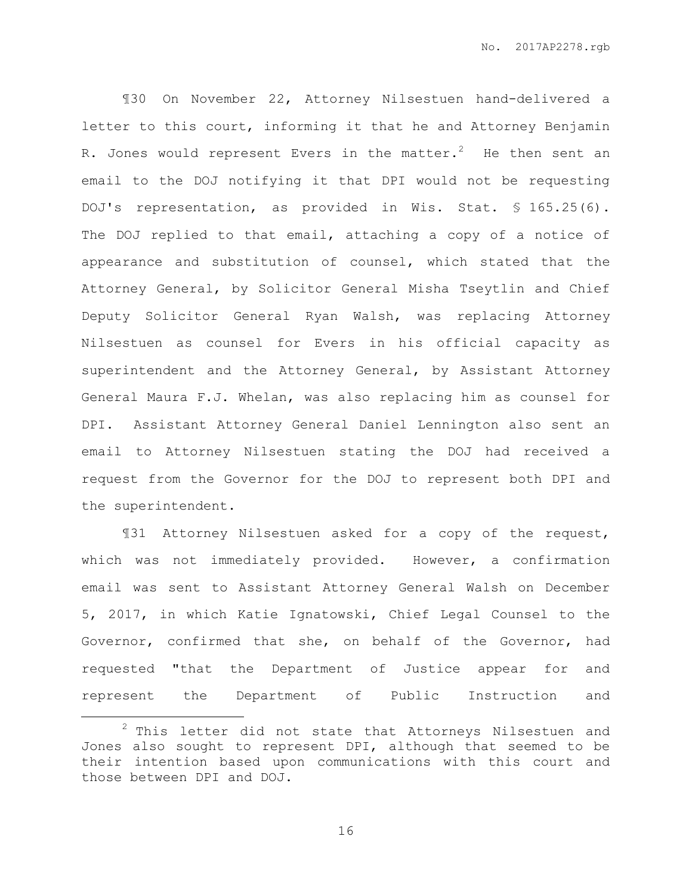¶30 On November 22, Attorney Nilsestuen hand-delivered a letter to this court, informing it that he and Attorney Benjamin R. Jones would represent Evers in the matter.<sup>2</sup> He then sent an email to the DOJ notifying it that DPI would not be requesting DOJ's representation, as provided in Wis. Stat. § 165.25(6). The DOJ replied to that email, attaching a copy of a notice of appearance and substitution of counsel, which stated that the Attorney General, by Solicitor General Misha Tseytlin and Chief Deputy Solicitor General Ryan Walsh, was replacing Attorney Nilsestuen as counsel for Evers in his official capacity as superintendent and the Attorney General, by Assistant Attorney General Maura F.J. Whelan, was also replacing him as counsel for DPI. Assistant Attorney General Daniel Lennington also sent an email to Attorney Nilsestuen stating the DOJ had received a request from the Governor for the DOJ to represent both DPI and the superintendent.

¶31 Attorney Nilsestuen asked for a copy of the request, which was not immediately provided. However, a confirmation email was sent to Assistant Attorney General Walsh on December 5, 2017, in which Katie Ignatowski, Chief Legal Counsel to the Governor, confirmed that she, on behalf of the Governor, had requested "that the Department of Justice appear for and represent the Department of Public Instruction and

 $\overline{a}$ 

 $2$  This letter did not state that Attorneys Nilsestuen and Jones also sought to represent DPI, although that seemed to be their intention based upon communications with this court and those between DPI and DOJ.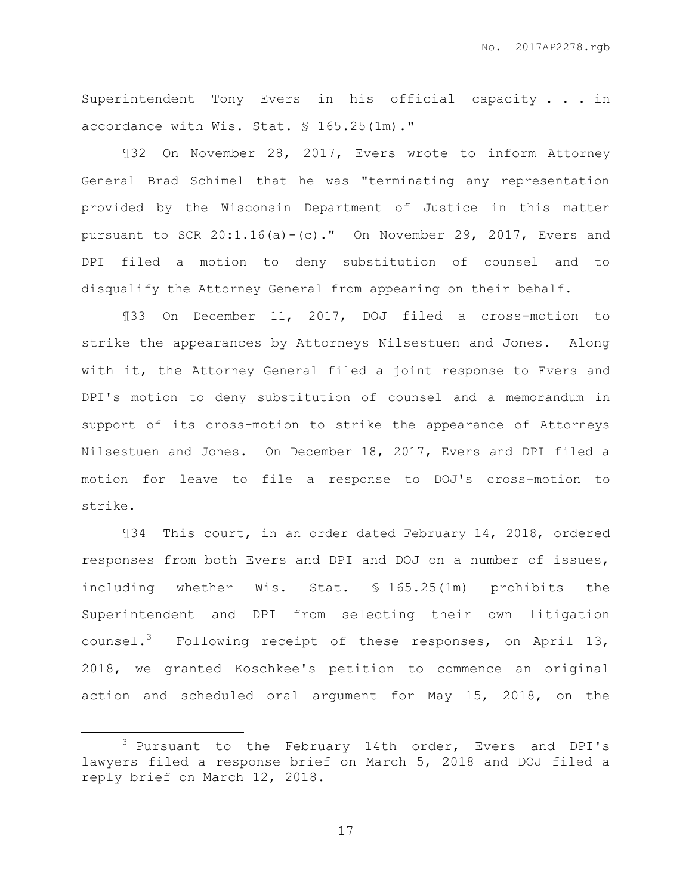Superintendent Tony Evers in his official capacity . . . in accordance with Wis. Stat. § 165.25(1m)."

¶32 On November 28, 2017, Evers wrote to inform Attorney General Brad Schimel that he was "terminating any representation provided by the Wisconsin Department of Justice in this matter pursuant to SCR  $20:1.16(a)-(c)$ ." On November 29, 2017, Evers and DPI filed a motion to deny substitution of counsel and to disqualify the Attorney General from appearing on their behalf.

¶33 On December 11, 2017, DOJ filed a cross-motion to strike the appearances by Attorneys Nilsestuen and Jones. Along with it, the Attorney General filed a joint response to Evers and DPI's motion to deny substitution of counsel and a memorandum in support of its cross-motion to strike the appearance of Attorneys Nilsestuen and Jones. On December 18, 2017, Evers and DPI filed a motion for leave to file a response to DOJ's cross-motion to strike.

¶34 This court, in an order dated February 14, 2018, ordered responses from both Evers and DPI and DOJ on a number of issues, including whether Wis. Stat. § 165.25(1m) prohibits the Superintendent and DPI from selecting their own litigation counsel.<sup>3</sup> Following receipt of these responses, on April 13, 2018, we granted Koschkee's petition to commence an original action and scheduled oral argument for May 15, 2018, on the

 $\overline{a}$ 

<sup>&</sup>lt;sup>3</sup> Pursuant to the February 14th order, Evers and DPI's lawyers filed a response brief on March 5, 2018 and DOJ filed a reply brief on March 12, 2018.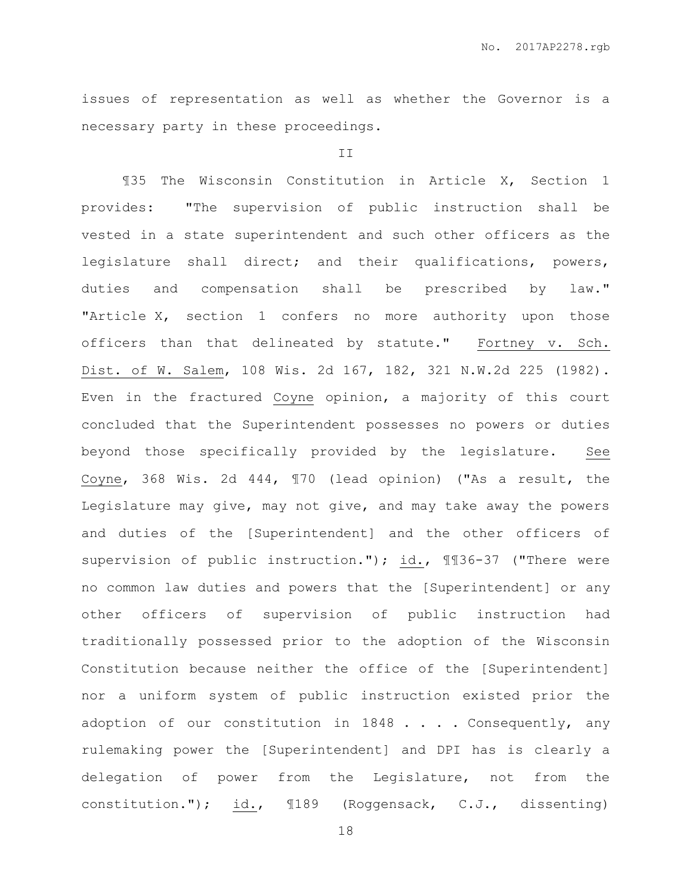issues of representation as well as whether the Governor is a necessary party in these proceedings.

### II

¶35 The Wisconsin Constitution in Article X, Section 1 provides: "The supervision of public instruction shall be vested in a state superintendent and such other officers as the legislature shall direct; and their qualifications, powers, duties and compensation shall be prescribed by law." "Article X, section 1 confers no more authority upon those officers than that delineated by statute." Fortney v. Sch. Dist. of W. Salem, 108 Wis. 2d 167, 182, 321 N.W.2d 225 (1982). Even in the fractured Coyne opinion, a majority of this court concluded that the Superintendent possesses no powers or duties beyond those specifically provided by the legislature. See Coyne, 368 Wis. 2d 444, ¶70 (lead opinion) ("As a result, the Legislature may give, may not give, and may take away the powers and duties of the [Superintendent] and the other officers of supervision of public instruction."); id., ¶¶36-37 ("There were no common law duties and powers that the [Superintendent] or any other officers of supervision of public instruction had traditionally possessed prior to the adoption of the Wisconsin Constitution because neither the office of the [Superintendent] nor a uniform system of public instruction existed prior the adoption of our constitution in 1848 . . . . Consequently, any rulemaking power the [Superintendent] and DPI has is clearly a delegation of power from the Legislature, not from the constitution."); id., ¶189 (Roggensack, C.J., dissenting)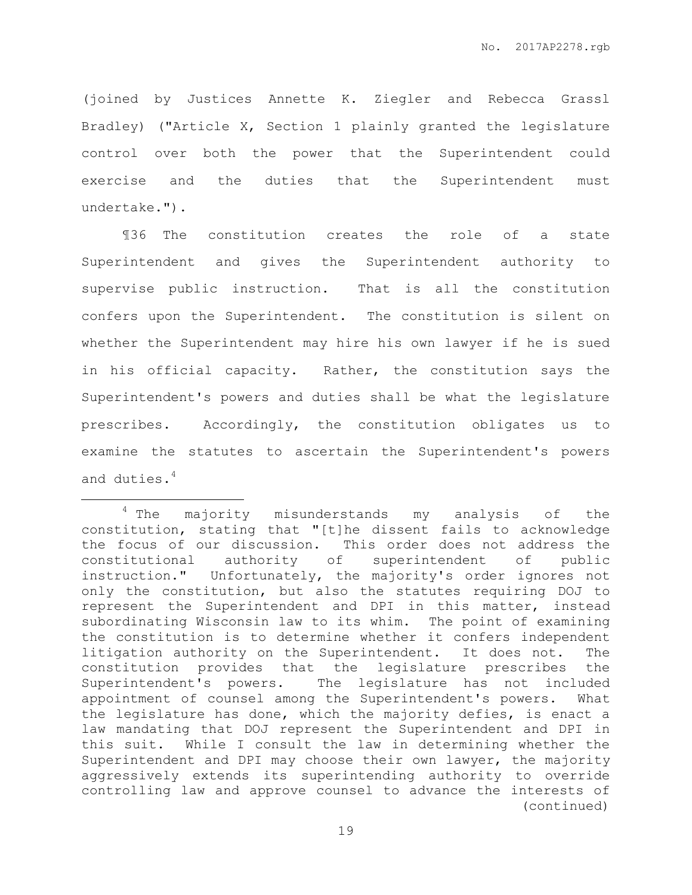(joined by Justices Annette K. Ziegler and Rebecca Grassl Bradley) ("Article X, Section 1 plainly granted the legislature control over both the power that the Superintendent could exercise and the duties that the Superintendent must undertake.").

¶36 The constitution creates the role of a state Superintendent and gives the Superintendent authority to supervise public instruction. That is all the constitution confers upon the Superintendent. The constitution is silent on whether the Superintendent may hire his own lawyer if he is sued in his official capacity. Rather, the constitution says the Superintendent's powers and duties shall be what the legislature prescribes. Accordingly, the constitution obligates us to examine the statutes to ascertain the Superintendent's powers and duties.<sup>4</sup>

 $\overline{a}$ 

<sup>&</sup>lt;sup>4</sup> The majority misunderstands my analysis of the constitution, stating that "[t]he dissent fails to acknowledge the focus of our discussion. This order does not address the constitutional authority of superintendent of public instruction." Unfortunately, the majority's order ignores not only the constitution, but also the statutes requiring DOJ to represent the Superintendent and DPI in this matter, instead subordinating Wisconsin law to its whim. The point of examining the constitution is to determine whether it confers independent litigation authority on the Superintendent. It does not. The constitution provides that the legislature prescribes the Superintendent's powers. The legislature has not included appointment of counsel among the Superintendent's powers. What the legislature has done, which the majority defies, is enact a law mandating that DOJ represent the Superintendent and DPI in this suit. While I consult the law in determining whether the Superintendent and DPI may choose their own lawyer, the majority aggressively extends its superintending authority to override controlling law and approve counsel to advance the interests of (continued)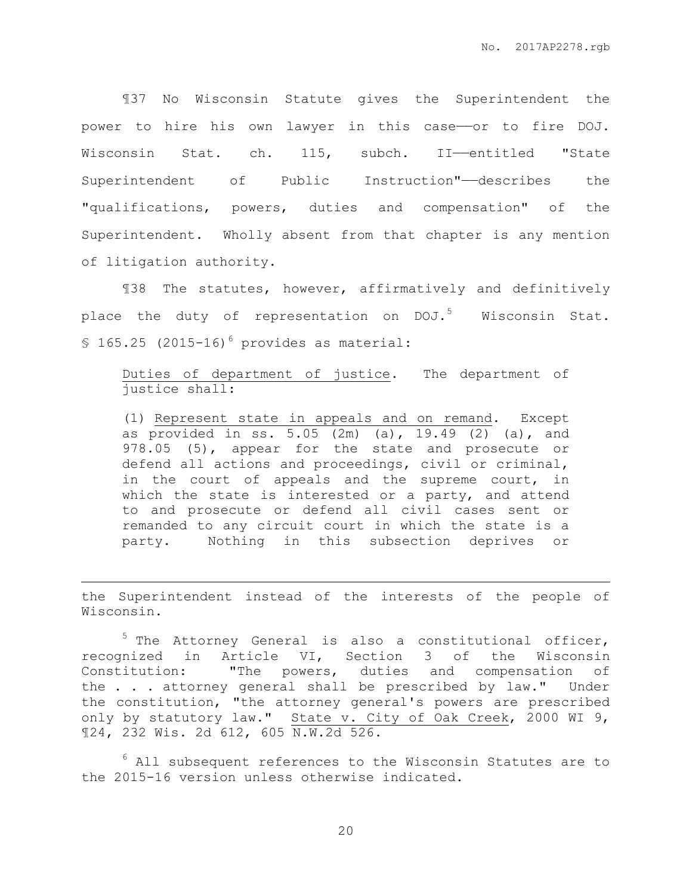¶37 No Wisconsin Statute gives the Superintendent the power to hire his own lawyer in this case—or to fire DOJ. Wisconsin Stat. ch. 115, subch. II—entitled "State Superintendent of Public Instruction"-describes the "qualifications, powers, duties and compensation" of the Superintendent. Wholly absent from that chapter is any mention of litigation authority.

¶38 The statutes, however, affirmatively and definitively place the duty of representation on DOJ.<sup>5</sup> Wisconsin Stat.  $$165.25$  (2015-16)<sup>6</sup> provides as material:

Duties of department of justice. The department of justice shall:

(1) Represent state in appeals and on remand. Except as provided in ss. 5.05 (2m) (a), 19.49 (2) (a), and 978.05 (5), appear for the state and prosecute or defend all actions and proceedings, civil or criminal, in the court of appeals and the supreme court, in which the state is interested or a party, and attend to and prosecute or defend all civil cases sent or remanded to any circuit court in which the state is a party. Nothing in this subsection deprives or

the Superintendent instead of the interests of the people of Wisconsin.

 $\overline{a}$ 

<sup>5</sup> The Attorney General is also a constitutional officer, recognized in Article VI, Section 3 of the Wisconsin Constitution: "The powers, duties and compensation of the . . . attorney general shall be prescribed by law." Under the constitution, "the attorney general's powers are prescribed only by statutory law." State v. City of Oak Creek, 2000 WI 9, ¶24, 232 Wis. 2d 612, 605 N.W.2d 526.

 $6$  All subsequent references to the Wisconsin Statutes are to the 2015-16 version unless otherwise indicated.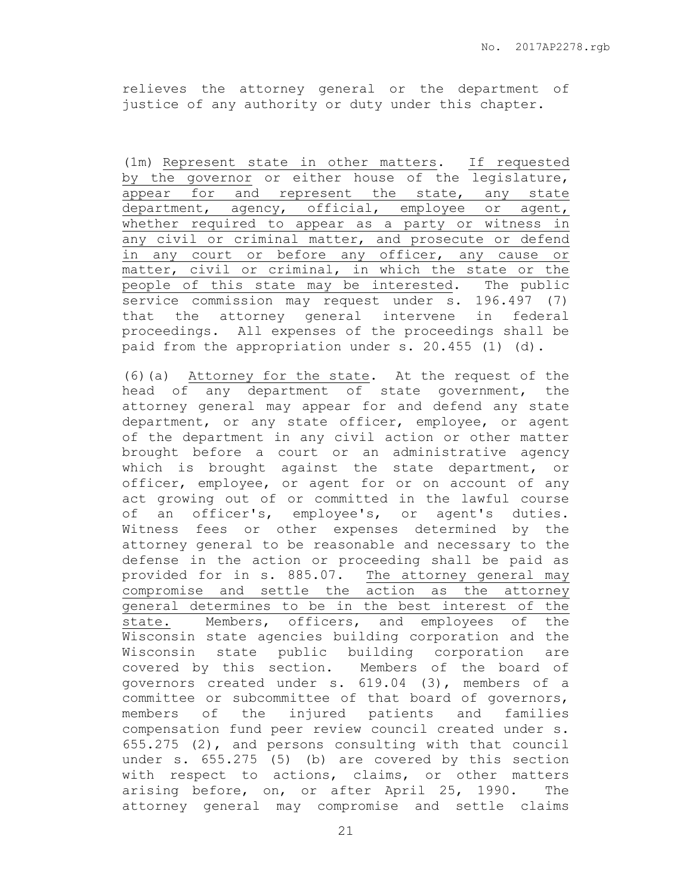relieves the attorney general or the department of justice of any authority or duty under this chapter.

(1m) Represent state in other matters. If requested by the governor or either house of the legislature, appear for and represent the state, any state department, agency, official, employee or agent, whether required to appear as a party or witness in any civil or criminal matter, and prosecute or defend in any court or before any officer, any cause or matter, civil or criminal, in which the state or the people of this state may be interested. The public service commission may request under s. 196.497 (7) that the attorney general intervene in federal proceedings. All expenses of the proceedings shall be paid from the appropriation under s. 20.455 (1) (d).

(6)(a) Attorney for the state. At the request of the head of any department of state government, the attorney general may appear for and defend any state department, or any state officer, employee, or agent of the department in any civil action or other matter brought before a court or an administrative agency which is brought against the state department, or officer, employee, or agent for or on account of any act growing out of or committed in the lawful course of an officer's, employee's, or agent's duties. Witness fees or other expenses determined by the attorney general to be reasonable and necessary to the defense in the action or proceeding shall be paid as provided for in s. 885.07. The attorney general may compromise and settle the action as the attorney general determines to be in the best interest of the state. Members, officers, and employees of the Wisconsin state agencies building corporation and the Wisconsin state public building corporation are covered by this section. Members of the board of governors created under s. 619.04 (3), members of a committee or subcommittee of that board of governors, members of the injured patients and families compensation fund peer review council created under s. 655.275 (2), and persons consulting with that council under s. 655.275 (5) (b) are covered by this section with respect to actions, claims, or other matters arising before, on, or after April 25, 1990. The attorney general may compromise and settle claims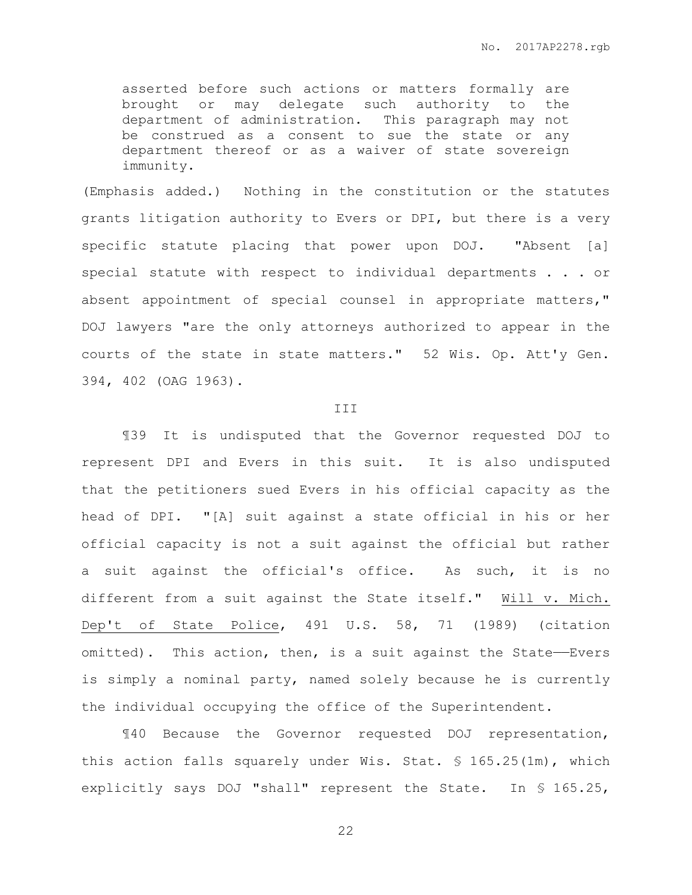asserted before such actions or matters formally are brought or may delegate such authority to the department of administration. This paragraph may not be construed as a consent to sue the state or any department thereof or as a waiver of state sovereign immunity.

(Emphasis added.) Nothing in the constitution or the statutes grants litigation authority to Evers or DPI, but there is a very specific statute placing that power upon DOJ. "Absent [a] special statute with respect to individual departments . . . or absent appointment of special counsel in appropriate matters," DOJ lawyers "are the only attorneys authorized to appear in the courts of the state in state matters." 52 Wis. Op. Att'y Gen. 394, 402 (OAG 1963).

#### III

¶39 It is undisputed that the Governor requested DOJ to represent DPI and Evers in this suit. It is also undisputed that the petitioners sued Evers in his official capacity as the head of DPI. "[A] suit against a state official in his or her official capacity is not a suit against the official but rather a suit against the official's office. As such, it is no different from a suit against the State itself." Will v. Mich. Dep't of State Police, 491 U.S. 58, 71 (1989) (citation omitted). This action, then, is a suit against the State-Evers is simply a nominal party, named solely because he is currently the individual occupying the office of the Superintendent.

¶40 Because the Governor requested DOJ representation, this action falls squarely under Wis. Stat. § 165.25(1m), which explicitly says DOJ "shall" represent the State. In § 165.25,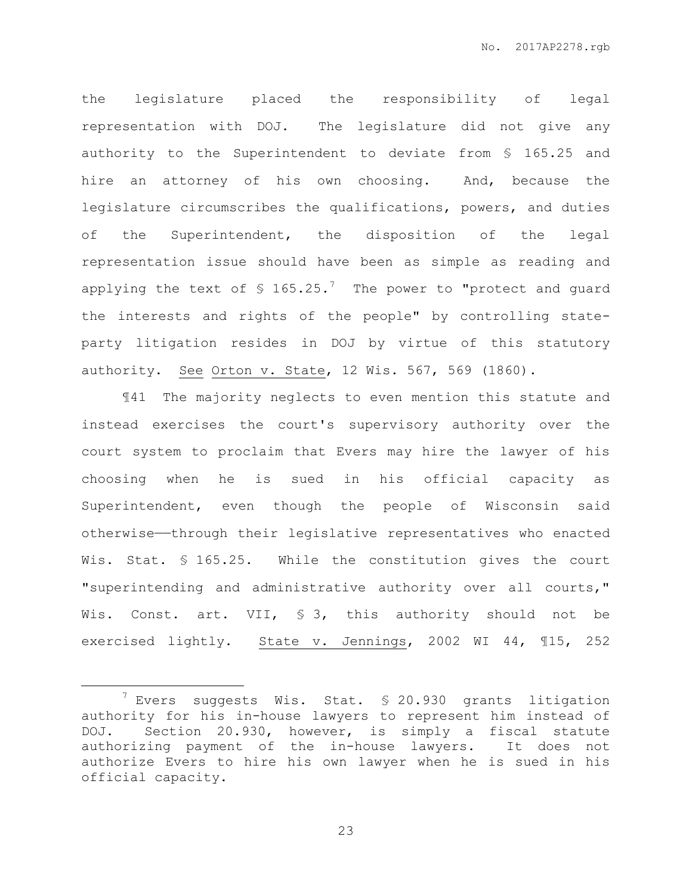the legislature placed the responsibility of legal representation with DOJ. The legislature did not give any authority to the Superintendent to deviate from § 165.25 and hire an attorney of his own choosing. And, because the legislature circumscribes the qualifications, powers, and duties of the Superintendent, the disposition of the legal representation issue should have been as simple as reading and applying the text of  $\text{\$}$  165.25.<sup>7</sup> The power to "protect and guard the interests and rights of the people" by controlling stateparty litigation resides in DOJ by virtue of this statutory authority. See Orton v. State, 12 Wis. 567, 569 (1860).

¶41 The majority neglects to even mention this statute and instead exercises the court's supervisory authority over the court system to proclaim that Evers may hire the lawyer of his choosing when he is sued in his official capacity as Superintendent, even though the people of Wisconsin said otherwise——through their legislative representatives who enacted Wis. Stat. § 165.25. While the constitution gives the court "superintending and administrative authority over all courts," Wis. Const. art. VII, § 3, this authority should not be exercised lightly. State v. Jennings, 2002 WI 44, 115, 252

 $\overline{a}$ 

<sup>7</sup> Evers suggests Wis. Stat. § 20.930 grants litigation authority for his in-house lawyers to represent him instead of DOJ. Section 20.930, however, is simply a fiscal statute authorizing payment of the in-house lawyers. It does not authorize Evers to hire his own lawyer when he is sued in his official capacity.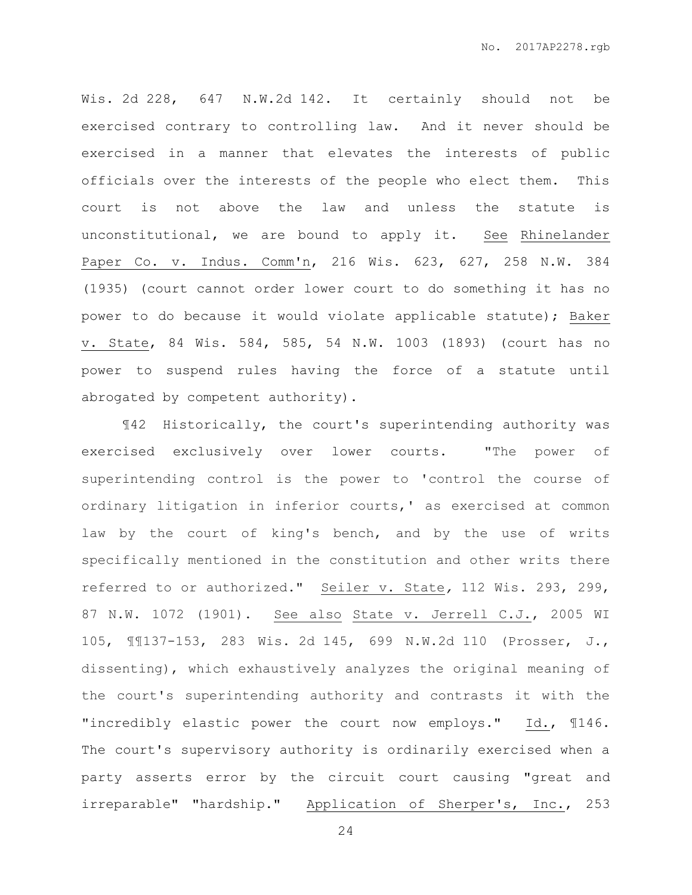Wis. 2d 228, 647 N.W.2d 142. It certainly should not be exercised contrary to controlling law. And it never should be exercised in a manner that elevates the interests of public officials over the interests of the people who elect them. This court is not above the law and unless the statute is unconstitutional, we are bound to apply it. See Rhinelander Paper Co. v. Indus. Comm'n, 216 Wis. 623, 627, 258 N.W. 384 (1935) (court cannot order lower court to do something it has no power to do because it would violate applicable statute); Baker v. State, 84 Wis. 584, 585, 54 N.W. 1003 (1893) (court has no power to suspend rules having the force of a statute until abrogated by competent authority).

¶42 Historically, the court's superintending authority was exercised exclusively over lower courts. "The power of superintending control is the power to 'control the course of ordinary litigation in inferior courts,' as exercised at common law by the court of king's bench, and by the use of writs specifically mentioned in the constitution and other writs there referred to or authorized." Seiler v. State*,* 112 Wis. 293, 299, 87 N.W. 1072 (1901). See also State v. Jerrell C.J., 2005 WI 105, ¶¶137-153, 283 Wis. 2d 145, 699 N.W.2d 110 (Prosser, J., dissenting), which exhaustively analyzes the original meaning of the court's superintending authority and contrasts it with the "incredibly elastic power the court now employs." Id., ¶146. The court's supervisory authority is ordinarily exercised when a party asserts error by the circuit court causing "great and irreparable" "hardship." Application of Sherper's, Inc., 253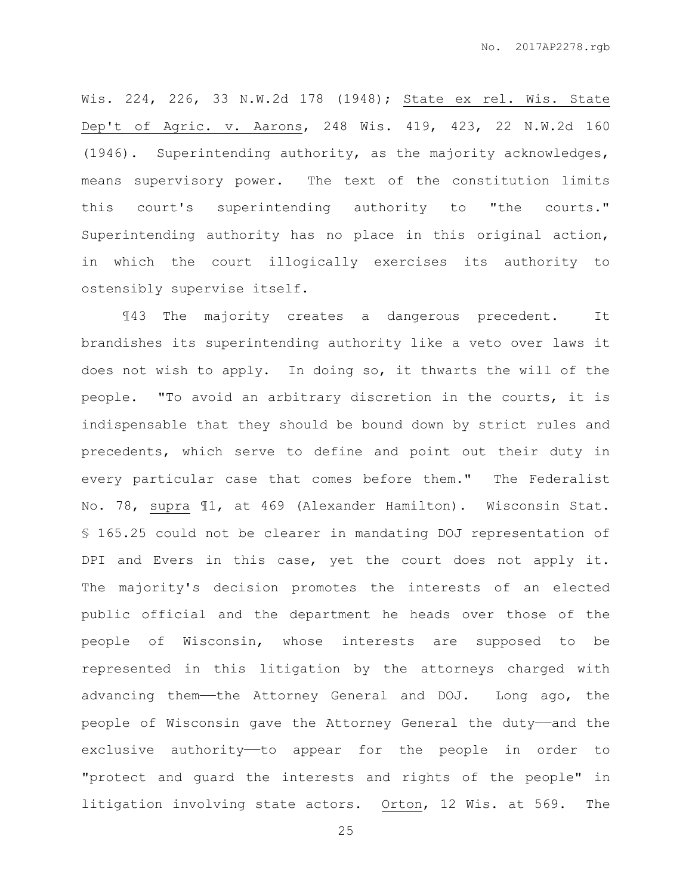Wis. 224, 226, 33 N.W.2d 178 (1948); State ex rel. Wis. State Dep't of Agric. v. Aarons, 248 Wis. 419, 423, 22 N.W.2d 160 (1946). Superintending authority, as the majority acknowledges, means supervisory power. The text of the constitution limits this court's superintending authority to "the courts." Superintending authority has no place in this original action, in which the court illogically exercises its authority to ostensibly supervise itself.

¶43 The majority creates a dangerous precedent. It brandishes its superintending authority like a veto over laws it does not wish to apply. In doing so, it thwarts the will of the people. "To avoid an arbitrary discretion in the courts, it is indispensable that they should be bound down by strict rules and precedents, which serve to define and point out their duty in every particular case that comes before them." The Federalist No. 78, supra ¶1, at 469 (Alexander Hamilton). Wisconsin Stat. § 165.25 could not be clearer in mandating DOJ representation of DPI and Evers in this case, yet the court does not apply it. The majority's decision promotes the interests of an elected public official and the department he heads over those of the people of Wisconsin, whose interests are supposed to be represented in this litigation by the attorneys charged with advancing them—the Attorney General and DOJ. Long ago, the people of Wisconsin gave the Attorney General the duty——and the exclusive authority—to appear for the people in order to "protect and guard the interests and rights of the people" in litigation involving state actors. Orton, 12 Wis. at 569. The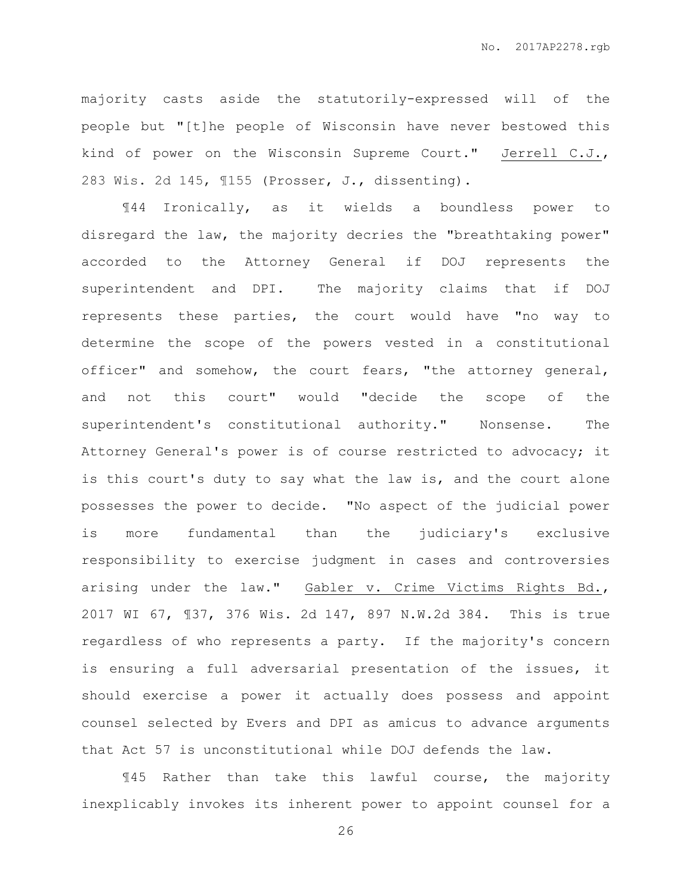majority casts aside the statutorily-expressed will of the people but "[t]he people of Wisconsin have never bestowed this kind of power on the Wisconsin Supreme Court." Jerrell C.J., 283 Wis. 2d 145, ¶155 (Prosser, J., dissenting).

¶44 Ironically, as it wields a boundless power to disregard the law, the majority decries the "breathtaking power" accorded to the Attorney General if DOJ represents the superintendent and DPI. The majority claims that if DOJ represents these parties, the court would have "no way to determine the scope of the powers vested in a constitutional officer" and somehow, the court fears, "the attorney general, and not this court" would "decide the scope of the superintendent's constitutional authority." Nonsense. The Attorney General's power is of course restricted to advocacy; it is this court's duty to say what the law is, and the court alone possesses the power to decide. "No aspect of the judicial power is more fundamental than the judiciary's exclusive responsibility to exercise judgment in cases and controversies arising under the law." Gabler v. Crime Victims Rights Bd., 2017 WI 67, ¶37, 376 Wis. 2d 147, 897 N.W.2d 384. This is true regardless of who represents a party. If the majority's concern is ensuring a full adversarial presentation of the issues, it should exercise a power it actually does possess and appoint counsel selected by Evers and DPI as amicus to advance arguments that Act 57 is unconstitutional while DOJ defends the law.

¶45 Rather than take this lawful course, the majority inexplicably invokes its inherent power to appoint counsel for a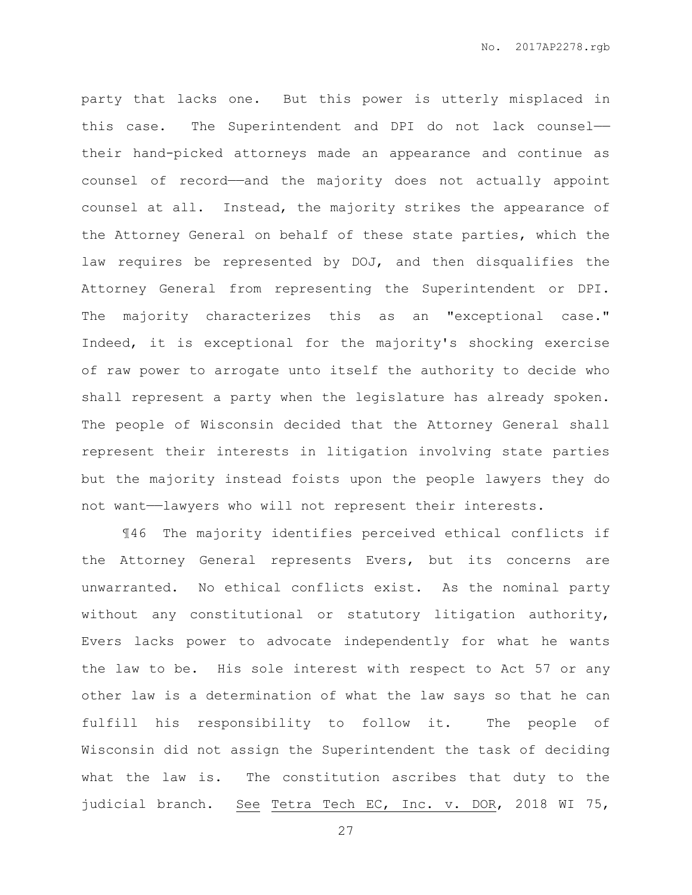party that lacks one. But this power is utterly misplaced in this case. The Superintendent and DPI do not lack counsel— their hand-picked attorneys made an appearance and continue as counsel of record——and the majority does not actually appoint counsel at all. Instead, the majority strikes the appearance of the Attorney General on behalf of these state parties, which the law requires be represented by DOJ, and then disqualifies the Attorney General from representing the Superintendent or DPI. The majority characterizes this as an "exceptional case." Indeed, it is exceptional for the majority's shocking exercise of raw power to arrogate unto itself the authority to decide who shall represent a party when the legislature has already spoken. The people of Wisconsin decided that the Attorney General shall represent their interests in litigation involving state parties but the majority instead foists upon the people lawyers they do not want——lawyers who will not represent their interests.

¶46 The majority identifies perceived ethical conflicts if the Attorney General represents Evers, but its concerns are unwarranted. No ethical conflicts exist. As the nominal party without any constitutional or statutory litigation authority, Evers lacks power to advocate independently for what he wants the law to be. His sole interest with respect to Act 57 or any other law is a determination of what the law says so that he can fulfill his responsibility to follow it. The people of Wisconsin did not assign the Superintendent the task of deciding what the law is. The constitution ascribes that duty to the judicial branch. See Tetra Tech EC, Inc. v. DOR, 2018 WI 75,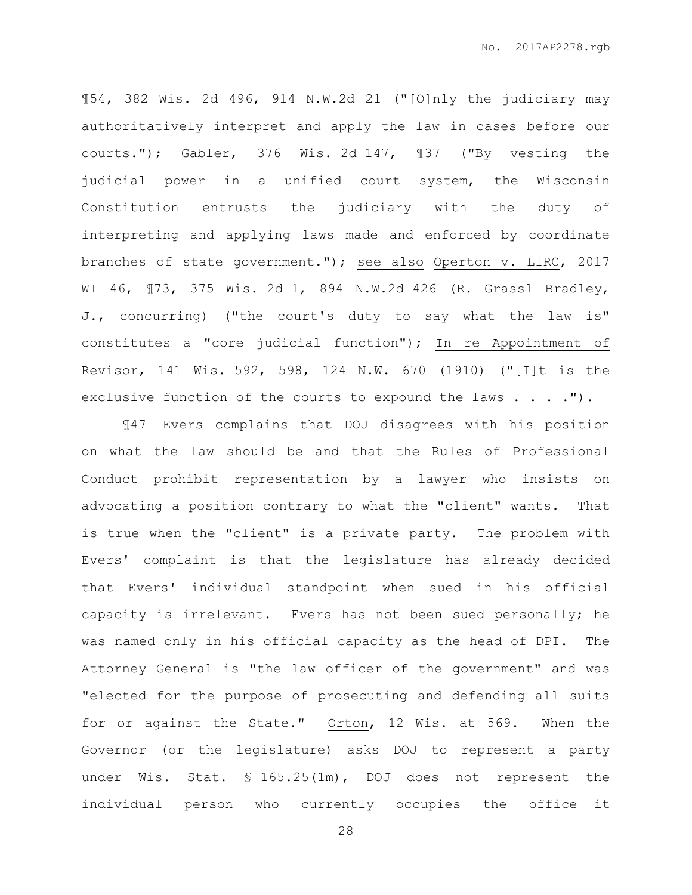¶54, 382 Wis. 2d 496, 914 N.W.2d 21 ("[O]nly the judiciary may authoritatively interpret and apply the law in cases before our courts."); Gabler, 376 Wis. 2d 147, ¶37 ("By vesting the judicial power in a unified court system, the Wisconsin Constitution entrusts the judiciary with the duty of interpreting and applying laws made and enforced by coordinate branches of state government."); see also Operton v. LIRC, 2017 WI 46, ¶73, 375 Wis. 2d 1, 894 N.W.2d 426 (R. Grassl Bradley, J., concurring) ("the court's duty to say what the law is" constitutes a "core judicial function"); In re Appointment of Revisor, 141 Wis. 592, 598, 124 N.W. 670 (1910) ("[I]t is the exclusive function of the courts to expound the laws . . . . ").

¶47 Evers complains that DOJ disagrees with his position on what the law should be and that the Rules of Professional Conduct prohibit representation by a lawyer who insists on advocating a position contrary to what the "client" wants. That is true when the "client" is a private party. The problem with Evers' complaint is that the legislature has already decided that Evers' individual standpoint when sued in his official capacity is irrelevant. Evers has not been sued personally; he was named only in his official capacity as the head of DPI. The Attorney General is "the law officer of the government" and was "elected for the purpose of prosecuting and defending all suits for or against the State." Orton, 12 Wis. at 569. When the Governor (or the legislature) asks DOJ to represent a party under Wis. Stat. § 165.25(1m), DOJ does not represent the individual person who currently occupies the office--it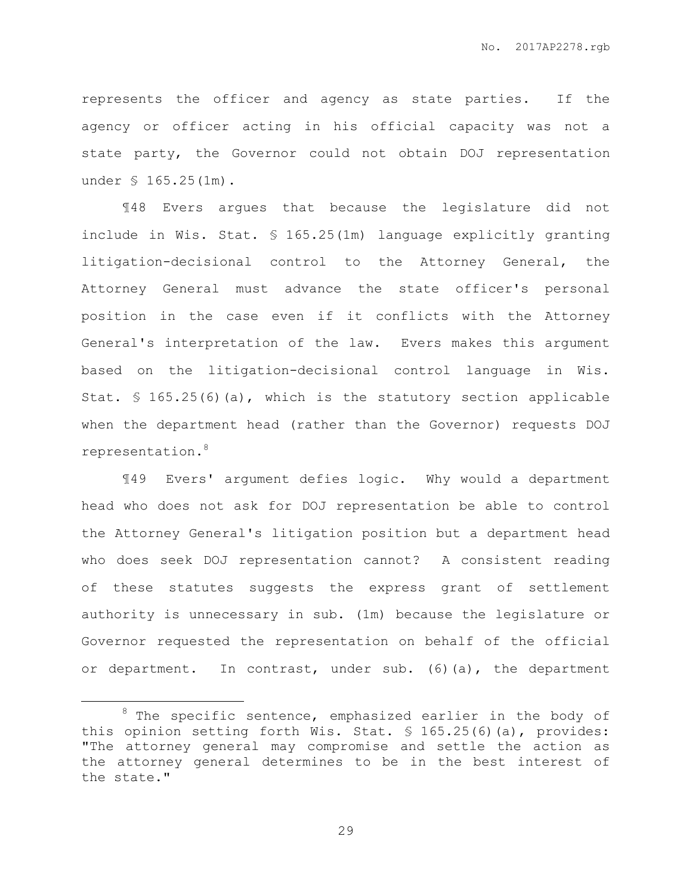represents the officer and agency as state parties. If the agency or officer acting in his official capacity was not a state party, the Governor could not obtain DOJ representation under § 165.25(1m).

¶48 Evers argues that because the legislature did not include in Wis. Stat. § 165.25(1m) language explicitly granting litigation-decisional control to the Attorney General, the Attorney General must advance the state officer's personal position in the case even if it conflicts with the Attorney General's interpretation of the law. Evers makes this argument based on the litigation-decisional control language in Wis. Stat. § 165.25(6)(a), which is the statutory section applicable when the department head (rather than the Governor) requests DOJ representation.<sup>8</sup>

¶49 Evers' argument defies logic. Why would a department head who does not ask for DOJ representation be able to control the Attorney General's litigation position but a department head who does seek DOJ representation cannot? A consistent reading of these statutes suggests the express grant of settlement authority is unnecessary in sub. (1m) because the legislature or Governor requested the representation on behalf of the official or department. In contrast, under sub. (6)(a), the department

 $\overline{a}$ 

 $8$  The specific sentence, emphasized earlier in the body of this opinion setting forth Wis. Stat. § 165.25(6)(a), provides: "The attorney general may compromise and settle the action as the attorney general determines to be in the best interest of the state."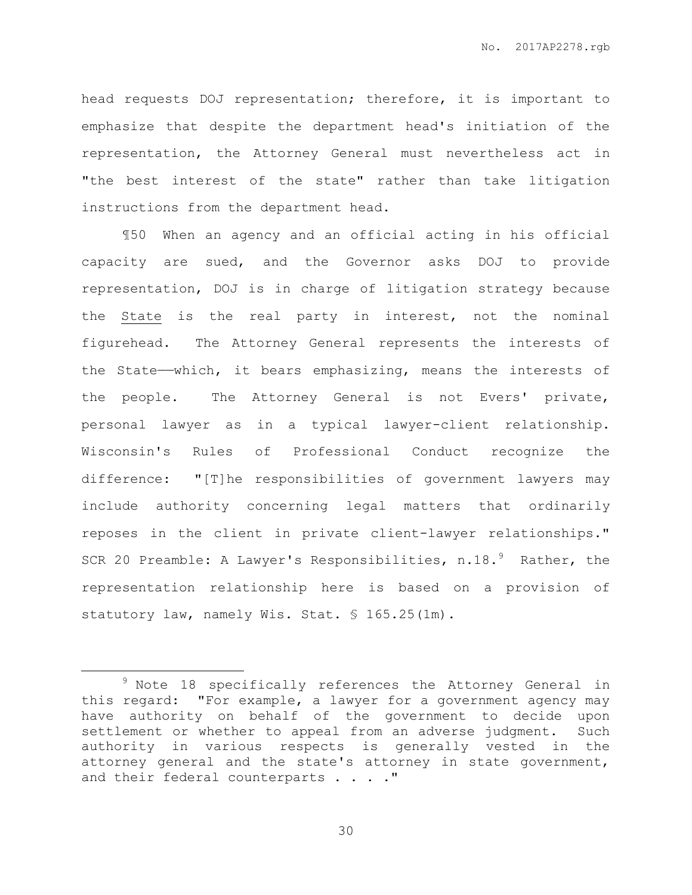head requests DOJ representation; therefore, it is important to emphasize that despite the department head's initiation of the representation, the Attorney General must nevertheless act in "the best interest of the state" rather than take litigation instructions from the department head.

¶50 When an agency and an official acting in his official capacity are sued, and the Governor asks DOJ to provide representation, DOJ is in charge of litigation strategy because the State is the real party in interest, not the nominal figurehead. The Attorney General represents the interests of the State——which, it bears emphasizing, means the interests of the people. The Attorney General is not Evers' private, personal lawyer as in a typical lawyer-client relationship. Wisconsin's Rules of Professional Conduct recognize the difference: "[T]he responsibilities of government lawyers may include authority concerning legal matters that ordinarily reposes in the client in private client-lawyer relationships." SCR 20 Preamble: A Lawyer's Responsibilities,  $n.18.^9$  Rather, the representation relationship here is based on a provision of statutory law, namely Wis. Stat. § 165.25(1m).

 $\overline{a}$ 

<sup>&</sup>lt;sup>9</sup> Note 18 specifically references the Attorney General in this regard: "For example, a lawyer for a government agency may have authority on behalf of the government to decide upon settlement or whether to appeal from an adverse judgment. Such authority in various respects is generally vested in the attorney general and the state's attorney in state government, and their federal counterparts . . . . "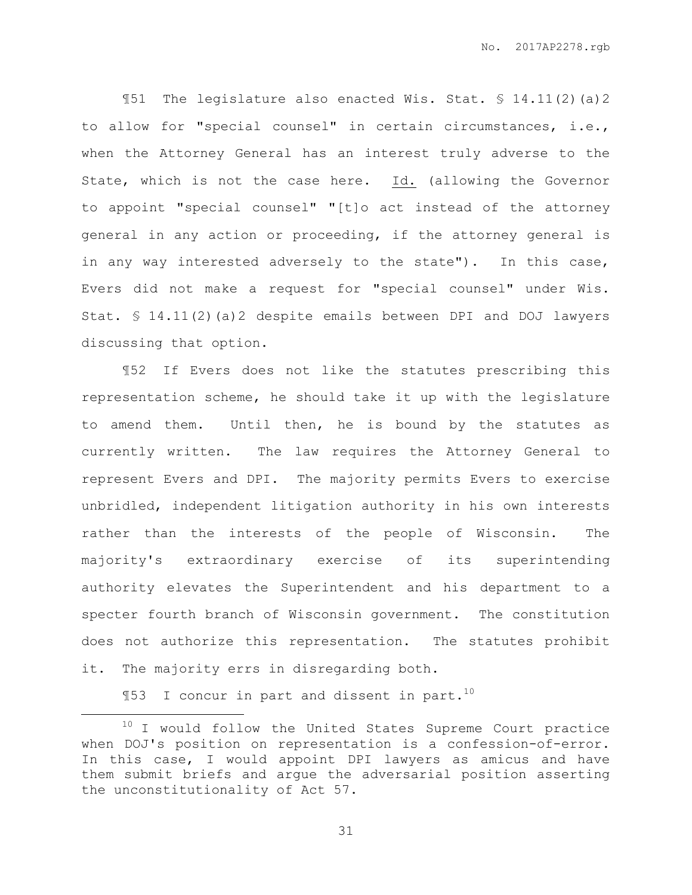¶51 The legislature also enacted Wis. Stat. § 14.11(2)(a)2 to allow for "special counsel" in certain circumstances, i.e., when the Attorney General has an interest truly adverse to the State, which is not the case here. Id. (allowing the Governor to appoint "special counsel" "[t]o act instead of the attorney general in any action or proceeding, if the attorney general is in any way interested adversely to the state"). In this case, Evers did not make a request for "special counsel" under Wis. Stat. § 14.11(2)(a)2 despite emails between DPI and DOJ lawyers discussing that option.

¶52 If Evers does not like the statutes prescribing this representation scheme, he should take it up with the legislature to amend them. Until then, he is bound by the statutes as currently written. The law requires the Attorney General to represent Evers and DPI. The majority permits Evers to exercise unbridled, independent litigation authority in his own interests rather than the interests of the people of Wisconsin. The majority's extraordinary exercise of its superintending authority elevates the Superintendent and his department to a specter fourth branch of Wisconsin government. The constitution does not authorize this representation. The statutes prohibit it. The majority errs in disregarding both.

 $$153$  I concur in part and dissent in part.<sup>10</sup>

 $\overline{a}$ 

<sup>&</sup>lt;sup>10</sup> I would follow the United States Supreme Court practice when DOJ's position on representation is a confession-of-error. In this case, I would appoint DPI lawyers as amicus and have them submit briefs and argue the adversarial position asserting the unconstitutionality of Act 57.